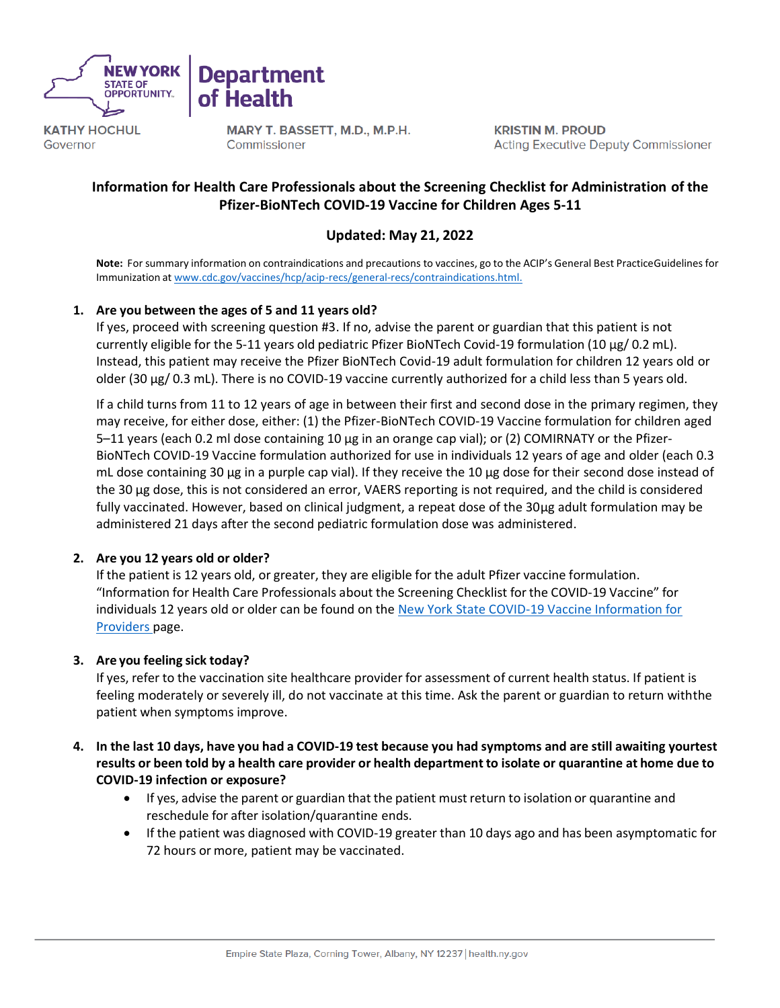

**Department** of Health

**KATHY HOCHUL** Governor

MARY T. BASSETT, M.D., M.P.H. Commissioner

**KRISTIN M. PROUD Acting Executive Deputy Commissioner** 

## **Information for Health Care Professionals about the Screening Checklist for Administration of the Pfizer-BioNTech COVID-19 Vaccine for Children Ages 5-11**

## **Updated: May 21, 2022**

**Note:** For summary information on contraindications and precautions to vaccines, go to the ACIP's General Best PracticeGuidelines for Immunization at [www.cdc.gov/vaccines/hcp/acip-recs/general-recs/contraindications.html.](http://www.cdc.gov/vaccines/hcp/acip-recs/general-recs/contraindications.html)

## **1. Are you between the ages of 5 and 11 years old?**

If yes, proceed with screening question #3. If no, advise the parent or guardian that this patient is not currently eligible for the 5-11 years old pediatric Pfizer BioNTech Covid-19 formulation (10 µg/ 0.2 mL). Instead, this patient may receive the Pfizer BioNTech Covid-19 adult formulation for children 12 years old or older (30 µg/ 0.3 mL). There is no COVID-19 vaccine currently authorized for a child less than 5 years old.

If a child turns from 11 to 12 years of age in between their first and second dose in the primary regimen, they may receive, for either dose, either: (1) the Pfizer-BioNTech COVID-19 Vaccine formulation for children aged 5–11 years (each 0.2 ml dose containing 10 µg in an orange cap vial); or (2) COMIRNATY or the Pfizer-BioNTech COVID-19 Vaccine formulation authorized for use in individuals 12 years of age and older (each 0.3 mL dose containing 30 µg in a purple cap vial). If they receive the 10 µg dose for their second dose instead of the 30 µg dose, this is not considered an error, VAERS reporting is not required, and the child is considered fully vaccinated. However, based on clinical judgment, a repeat dose of the 30µg adult formulation may be administered 21 days after the second pediatric formulation dose was administered.

## **2. Are you 12 years old or older?**

If the patient is 12 years old, or greater, they are eligible for the adult Pfizer vaccine formulation. "Information for Health Care Professionals about the Screening Checklist forthe COVID-19 Vaccine" for individuals 12 years old or older can be found on the [New York State COVID-19 Vaccine Information for](https://coronavirus.health.ny.gov/covid-19-vaccine-information-providers) [Providers](https://coronavirus.health.ny.gov/covid-19-vaccine-information-providers) page.

#### **3. Are you feeling sick today?**

If yes, refer to the vaccination site healthcare provider for assessment of current health status. If patient is feeling moderately or severely ill, do not vaccinate at this time. Ask the parent or guardian to return withthe patient when symptoms improve.

### 4. In the last 10 days, have you had a COVID-19 test because you had symptoms and are still awaiting yourtest results or been told by a health care provider or health department to isolate or quarantine at home due to **COVID-19 infection or exposure?**

- If yes, advise the parent or guardian that the patient must return to isolation or quarantine and reschedule for after isolation/quarantine ends.
- If the patient was diagnosed with COVID-19 greater than 10 days ago and has been asymptomatic for 72 hours or more, patient may be vaccinated.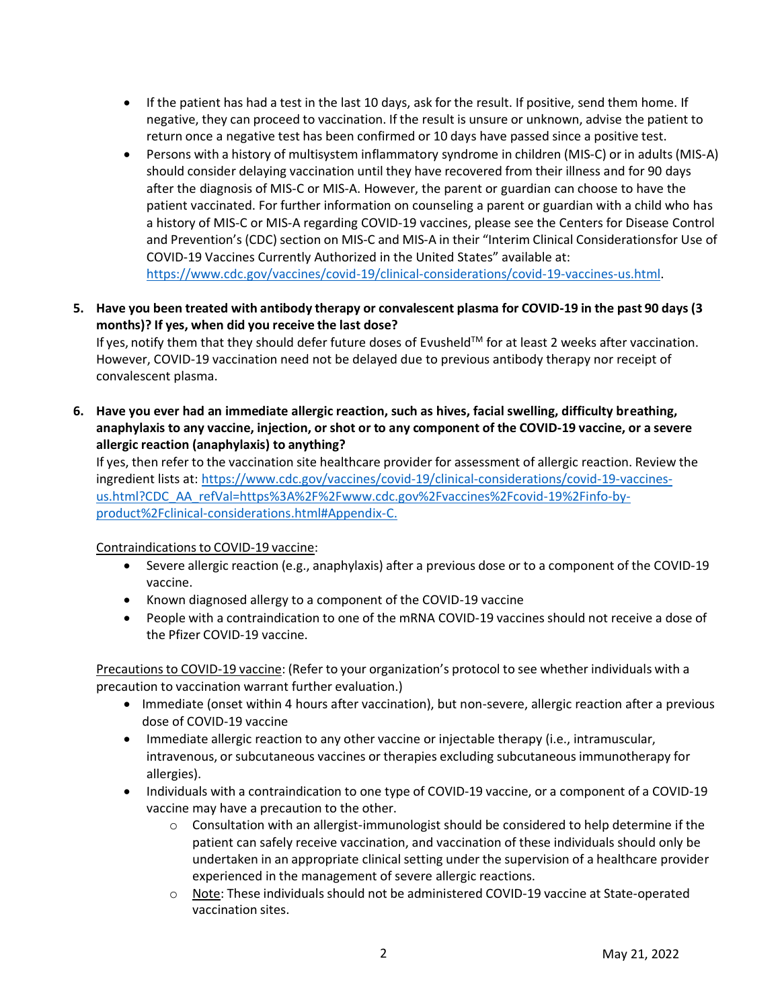- If the patient has had a test in the last 10 days, ask for the result. If positive, send them home. If negative, they can proceed to vaccination. If the result is unsure or unknown, advise the patient to return once a negative test has been confirmed or 10 days have passed since a positive test.
- Persons with a history of multisystem inflammatory syndrome in children (MIS-C) or in adults (MIS-A) should consider delaying vaccination until they have recovered from their illness and for 90 days after the diagnosis of MIS-C or MIS-A. However, the parent or guardian can choose to have the patient vaccinated. For further information on counseling a parent or guardian with a child who has a history of MIS-C or MIS-A regarding COVID-19 vaccines, please see the Centers for Disease Control and Prevention's (CDC) section on MIS-C and MIS-A in their "Interim Clinical Considerationsfor Use of COVID-19 Vaccines Currently Authorized in the United States" available at: [https://www.cdc.gov/vaccines/covid-19/clinical-considerations/covid-19-vaccines-us.html.](https://www.cdc.gov/vaccines/covid-19/clinical-considerations/covid-19-vaccines-us.html)
- 5. Have you been treated with antibody therapy or convalescent plasma for COVID-19 in the past 90 days (3 **months)? If yes, when did you receive the last dose?**

If yes, notify them that they should defer future doses of Evusheld $TM$  for at least 2 weeks after vaccination. However, COVID-19 vaccination need not be delayed due to previous antibody therapy nor receipt of convalescent plasma.

**6. Have you ever had an immediate allergic reaction, such as hives, facial swelling, difficulty breathing,** anaphylaxis to any vaccine, injection, or shot or to any component of the COVID-19 vaccine, or a severe **allergic reaction (anaphylaxis) to anything?**

If yes, then refer to the vaccination site healthcare provider for assessment of allergic reaction. Review the ingredient lists at: [https://www.cdc.gov/vaccines/covid-19/clinical-considerations/covid-19-vaccines](https://www.cdc.gov/vaccines/covid-19/clinical-considerations/covid-19-vaccines-us.html?CDC_AA_refVal=https%3A%2F%2Fwww.cdc.gov%2Fvaccines%2Fcovid-19%2Finfo-by-product%2Fclinical-considerations.html&Appendix-C)[us.html?CDC\\_AA\\_refVal=https%3A%2F%2Fwww.cdc.gov%2Fvaccines%2Fcovid-19%2Finfo-by](https://www.cdc.gov/vaccines/covid-19/clinical-considerations/covid-19-vaccines-us.html?CDC_AA_refVal=https%3A%2F%2Fwww.cdc.gov%2Fvaccines%2Fcovid-19%2Finfo-by-product%2Fclinical-considerations.html&Appendix-C)[product%2Fclinical-considerations.html#Appendix-C.](https://www.cdc.gov/vaccines/covid-19/clinical-considerations/covid-19-vaccines-us.html?CDC_AA_refVal=https%3A%2F%2Fwww.cdc.gov%2Fvaccines%2Fcovid-19%2Finfo-by-product%2Fclinical-considerations.html&Appendix-C)

Contraindications to COVID-19 vaccine:

- Severe allergic reaction (e.g., anaphylaxis) after a previous dose or to a component of the COVID-19 vaccine.
- Known diagnosed allergy to a component of the COVID-19 vaccine
- People with a contraindication to one of the mRNA COVID-19 vaccines should not receive a dose of the Pfizer COVID-19 vaccine.

Precautions to COVID-19 vaccine: (Refer to your organization's protocol to see whether individuals with a precaution to vaccination warrant further evaluation.)

- Immediate (onset within 4 hours after vaccination), but non-severe, allergic reaction after a previous dose of COVID-19 vaccine
- Immediate allergic reaction to any other vaccine or injectable therapy (i.e., intramuscular, intravenous, or subcutaneous vaccines or therapies excluding subcutaneous immunotherapy for allergies).
- Individuals with a contraindication to one type of COVID-19 vaccine, or a component of a COVID-19 vaccine may have a precaution to the other.
	- $\circ$  Consultation with an allergist-immunologist should be considered to help determine if the patient can safely receive vaccination, and vaccination of these individuals should only be undertaken in an appropriate clinical setting under the supervision of a healthcare provider experienced in the management of severe allergic reactions.
	- o Note: These individuals should not be administered COVID-19 vaccine at State-operated vaccination sites.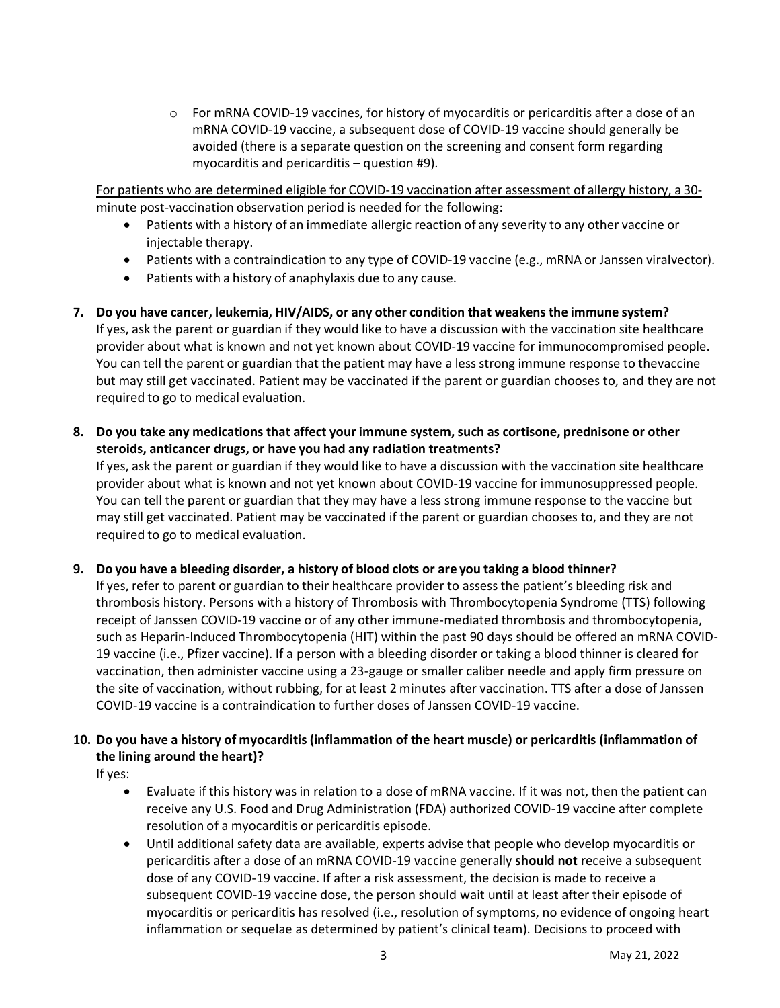$\circ$  For mRNA COVID-19 vaccines, for history of myocarditis or pericarditis after a dose of an mRNA COVID-19 vaccine, a subsequent dose of COVID-19 vaccine should generally be avoided (there is a separate question on the screening and consent form regarding myocarditis and pericarditis – question #9).

For patients who are determined eligible for COVID-19 vaccination after assessment of allergy history, a 30 minute post-vaccination observation period is needed for the following:

- Patients with a history of an immediate allergic reaction of any severity to any other vaccine or injectable therapy.
- Patients with a contraindication to any type of COVID-19 vaccine (e.g., mRNA or Janssen viralvector).
- Patients with a history of anaphylaxis due to any cause.

**7. Do you have cancer, leukemia, HIV/AIDS, or any other condition that weakens the immune system?** If yes, ask the parent or guardian if they would like to have a discussion with the vaccination site healthcare provider about what is known and not yet known about COVID-19 vaccine for immunocompromised people. You can tell the parent or guardian that the patient may have a less strong immune response to thevaccine but may still get vaccinated. Patient may be vaccinated if the parent or guardian chooses to, and they are not required to go to medical evaluation.

**8. Do you take any medications that affect your immune system, such as cortisone, prednisone or other steroids, anticancer drugs, or have you had any radiation treatments?**

If yes, ask the parent or guardian if they would like to have a discussion with the vaccination site healthcare provider about what is known and not yet known about COVID-19 vaccine for immunosuppressed people. You can tell the parent or guardian that they may have a less strong immune response to the vaccine but may still get vaccinated. Patient may be vaccinated if the parent or guardian chooses to, and they are not required to go to medical evaluation.

**9. Do you have a bleeding disorder, a history of blood clots or are you taking a blood thinner?**

If yes, refer to parent or guardian to their healthcare provider to assess the patient's bleeding risk and thrombosis history. Persons with a history of Thrombosis with Thrombocytopenia Syndrome (TTS) following receipt of Janssen COVID-19 vaccine or of any other immune-mediated thrombosis and thrombocytopenia, such as Heparin-Induced Thrombocytopenia (HIT) within the past 90 days should be offered an mRNA COVID-19 vaccine (i.e., Pfizer vaccine). If a person with a bleeding disorder or taking a blood thinner is cleared for vaccination, then administer vaccine using a 23-gauge or smaller caliber needle and apply firm pressure on the site of vaccination, without rubbing, for at least 2 minutes after vaccination. TTS after a dose of Janssen COVID-19 vaccine is a contraindication to further doses of Janssen COVID-19 vaccine.

# 10. Do you have a history of myocarditis (inflammation of the heart muscle) or pericarditis (inflammation of **the lining around the heart)?**

If yes:

- Evaluate if this history was in relation to a dose of mRNA vaccine. If it was not, then the patient can receive any U.S. Food and Drug Administration (FDA) authorized COVID-19 vaccine after complete resolution of a myocarditis or pericarditis episode.
- Until additional safety data are available, experts advise that people who develop myocarditis or pericarditis after a dose of an mRNA COVID-19 vaccine generally **should not** receive a subsequent dose of any COVID-19 vaccine. If after a risk assessment, the decision is made to receive a subsequent COVID-19 vaccine dose, the person should wait until at least after their episode of myocarditis or pericarditis has resolved (i.e., resolution of symptoms, no evidence of ongoing heart inflammation or sequelae as determined by patient's clinical team). Decisions to proceed with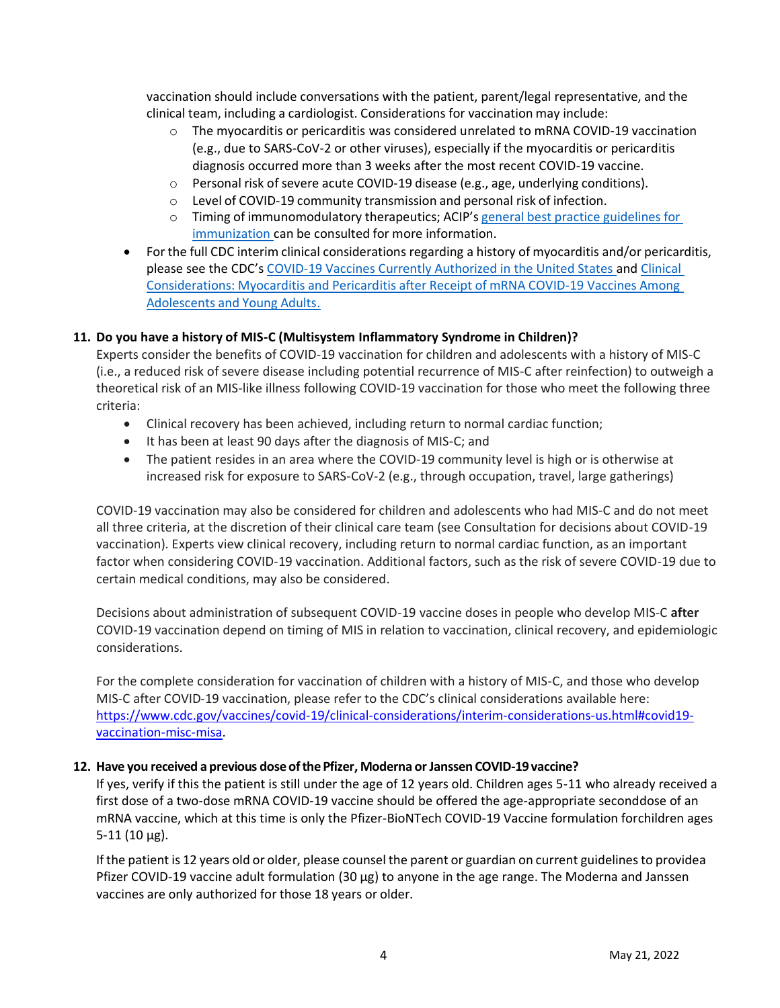vaccination should include conversations with the patient, parent/legal representative, and the clinical team, including a cardiologist. Considerations for vaccination may include:

- $\circ$  The myocarditis or pericarditis was considered unrelated to mRNA COVID-19 vaccination (e.g., due to SARS-CoV-2 or other viruses), especially if the myocarditis or pericarditis diagnosis occurred more than 3 weeks after the most recent COVID-19 vaccine.
- $\circ$  Personal risk of severe acute COVID-19 disease (e.g., age, underlying conditions).
- o Level of COVID-19 community transmission and personal risk of infection.
- o Timing of immunomodulatory therapeutics; ACIP's general best practice [guidelines](https://www.cdc.gov/vaccines/hcp/acip-recs/general-recs/index.html) for [immunization](https://www.cdc.gov/vaccines/hcp/acip-recs/general-recs/index.html) can be consulted for more information.
- For the full CDC interim clinical considerations regarding a history of myocarditis and/or pericarditis, please see the CDC's [COVID-19 Vaccines Currently Authorized in the United States](https://www.cdc.gov/coronavirus/2019-ncov/vaccines/different-vaccines.html) and [Clinical](https://www.cdc.gov/vaccines/covid-19/clinical-considerations/myocarditis.html) [Considerations:](https://www.cdc.gov/vaccines/covid-19/clinical-considerations/myocarditis.html) Myocarditis and Pericarditis after Receipt of mRNA COVID-19 Vaccines Among [Adolescents](https://www.cdc.gov/vaccines/covid-19/clinical-considerations/myocarditis.html) and Young Adults.

#### **11. Do you have a history of MIS-C (Multisystem Inflammatory Syndrome in Children)?**

Experts consider the benefits of COVID-19 vaccination for children and adolescents with a history of MIS-C (i.e., a reduced risk of severe disease including potential recurrence of MIS-C after reinfection) to outweigh a theoretical risk of an MIS-like illness following COVID-19 vaccination for those who meet the following three criteria:

- Clinical recovery has been achieved, including return to normal cardiac function;
- It has been at least 90 days after the diagnosis of MIS-C; and
- The patient resides in an area where the COVID-19 community level is high or is otherwise at increased risk for exposure to SARS-CoV-2 (e.g., through occupation, travel, large gatherings)

COVID-19 vaccination may also be considered for children and adolescents who had MIS-C and do not meet all three criteria, at the discretion of their clinical care team (see Consultation for decisions about COVID-19 vaccination). Experts view clinical recovery, including return to normal cardiac function, as an important factor when considering COVID-19 vaccination. Additional factors, such as the risk of severe COVID-19 due to certain medical conditions, may also be considered.

Decisions about administration of subsequent COVID-19 vaccine doses in people who develop MIS-C **after** COVID-19 vaccination depend on timing of MIS in relation to vaccination, clinical recovery, and epidemiologic considerations.

For the complete consideration for vaccination of children with a history of MIS-C, and those who develop MIS-C after COVID-19 vaccination, please refer to the CDC's clinical considerations available here: [https://www.cdc.gov/vaccines/covid-19/clinical-considerations/interim-considerations-us.html#covid19](https://www.cdc.gov/vaccines/covid-19/clinical-considerations/interim-considerations-us.html#covid19-vaccination-misc-misa) [vaccination-misc-misa.](https://www.cdc.gov/vaccines/covid-19/clinical-considerations/interim-considerations-us.html#covid19-vaccination-misc-misa)

#### **12. Have you received a previous dose ofthe Pfizer, Moderna orJanssen COVID-19 vaccine?**

If yes, verify if this the patient is still under the age of 12 years old. Children ages 5-11 who already received a first dose of a two-dose mRNA COVID-19 vaccine should be offered the age-appropriate seconddose of an mRNA vaccine, which at this time is only the Pfizer-BioNTech COVID-19 Vaccine formulation forchildren ages  $5-11$  (10  $\mu$ g).

If the patient is 12 years old or older, please counsel the parent or guardian on current guidelinesto providea Pfizer COVID-19 vaccine adult formulation (30 µg) to anyone in the age range. The Moderna and Janssen vaccines are only authorized for those 18 years or older.